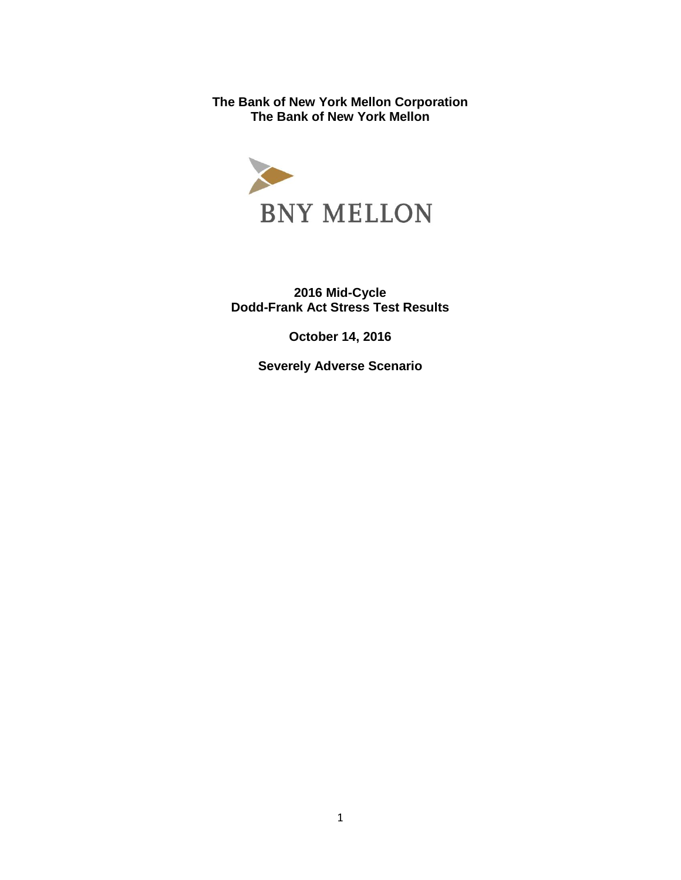**The Bank of New York Mellon Corporation The Bank of New York Mellon** 



**2016 Mid-Cycle Dodd-Frank Act Stress Test Results** 

**October 14, 2016** 

**Severely Adverse Scenario**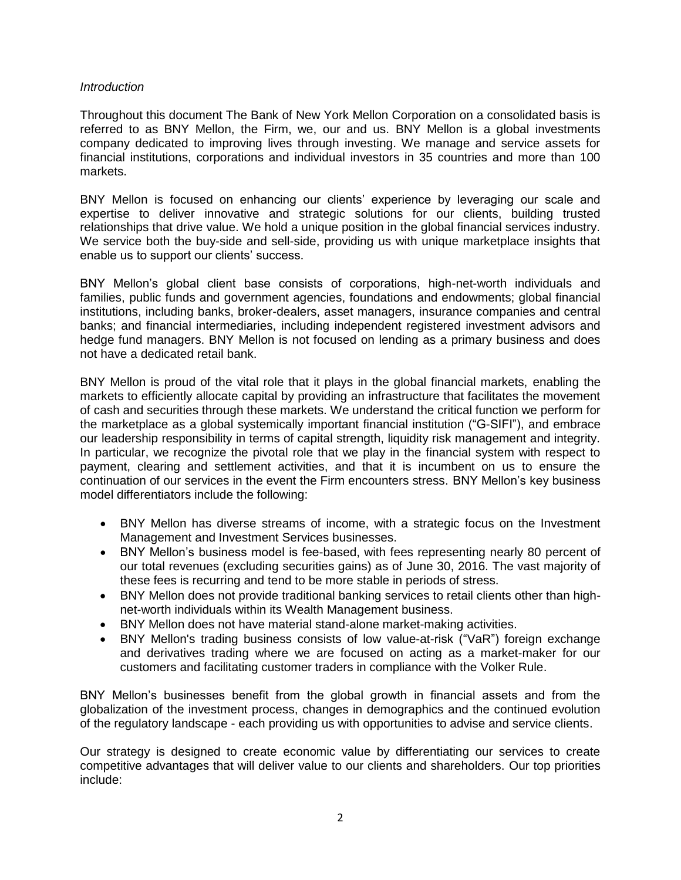## *Introduction*

Throughout this document The Bank of New York Mellon Corporation on a consolidated basis is referred to as BNY Mellon, the Firm, we, our and us. BNY Mellon is a global investments company dedicated to improving lives through investing. We manage and service assets for financial institutions, corporations and individual investors in 35 countries and more than 100 markets.

BNY Mellon is focused on enhancing our clients' experience by leveraging our scale and expertise to deliver innovative and strategic solutions for our clients, building trusted relationships that drive value. We hold a unique position in the global financial services industry. We service both the buy-side and sell-side, providing us with unique marketplace insights that enable us to support our clients' success.

BNY Mellon's global client base consists of corporations, high-net-worth individuals and families, public funds and government agencies, foundations and endowments; global financial institutions, including banks, broker-dealers, asset managers, insurance companies and central banks; and financial intermediaries, including independent registered investment advisors and hedge fund managers. BNY Mellon is not focused on lending as a primary business and does not have a dedicated retail bank.

BNY Mellon is proud of the vital role that it plays in the global financial markets, enabling the markets to efficiently allocate capital by providing an infrastructure that facilitates the movement of cash and securities through these markets. We understand the critical function we perform for the marketplace as a global systemically important financial institution ("G-SIFI"), and embrace our leadership responsibility in terms of capital strength, liquidity risk management and integrity. In particular, we recognize the pivotal role that we play in the financial system with respect to payment, clearing and settlement activities, and that it is incumbent on us to ensure the continuation of our services in the event the Firm encounters stress. BNY Mellon's key business model differentiators include the following:

- BNY Mellon has diverse streams of income, with a strategic focus on the Investment Management and Investment Services businesses.
- BNY Mellon's business model is fee-based, with fees representing nearly 80 percent of our total revenues (excluding securities gains) as of June 30, 2016. The vast majority of these fees is recurring and tend to be more stable in periods of stress.
- BNY Mellon does not provide traditional banking services to retail clients other than highnet-worth individuals within its Wealth Management business.
- BNY Mellon does not have material stand-alone market-making activities.
- BNY Mellon's trading business consists of low value-at-risk ("VaR") foreign exchange and derivatives trading where we are focused on acting as a market-maker for our customers and facilitating customer traders in compliance with the Volker Rule.

BNY Mellon's businesses benefit from the global growth in financial assets and from the globalization of the investment process, changes in demographics and the continued evolution of the regulatory landscape - each providing us with opportunities to advise and service clients.

Our strategy is designed to create economic value by differentiating our services to create competitive advantages that will deliver value to our clients and shareholders. Our top priorities include: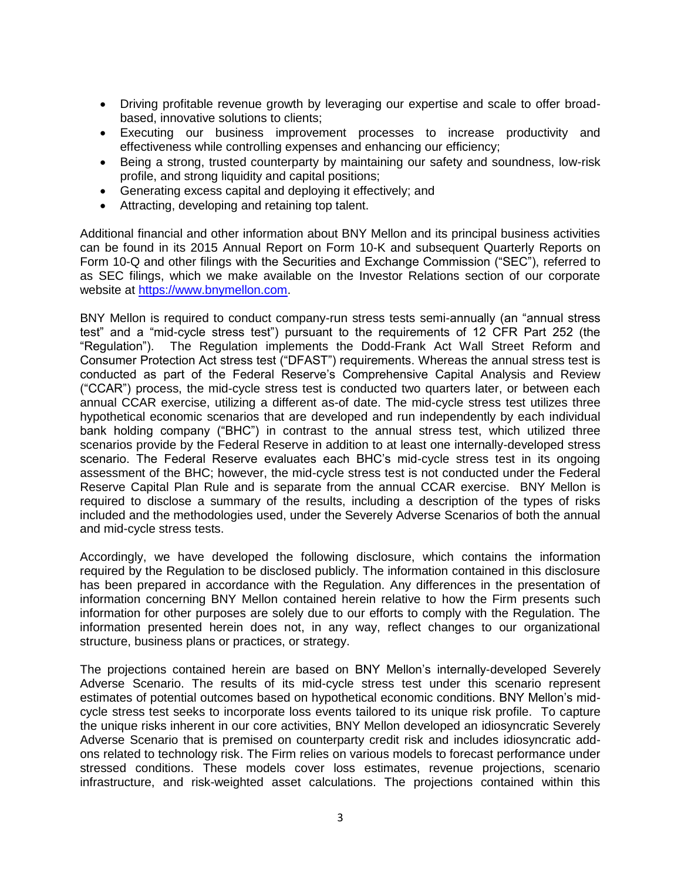- Driving profitable revenue growth by leveraging our expertise and scale to offer broadbased, innovative solutions to clients;
- Executing our business improvement processes to increase productivity and effectiveness while controlling expenses and enhancing our efficiency;
- Being a strong, trusted counterparty by maintaining our safety and soundness, low-risk profile, and strong liquidity and capital positions;
- Generating excess capital and deploying it effectively; and
- Attracting, developing and retaining top talent.

Additional financial and other information about BNY Mellon and its principal business activities can be found in its 2015 Annual Report on Form 10-K and subsequent Quarterly Reports on Form 10-Q and other filings with the Securities and Exchange Commission ("SEC"), referred to as SEC filings, which we make available on the Investor Relations section of our corporate website at [https://www.bnymellon.com.](https://www.bnymellon.com/)

BNY Mellon is required to conduct company-run stress tests semi-annually (an "annual stress test" and a "mid-cycle stress test") pursuant to the requirements of 12 CFR Part 252 (the "Regulation"). The Regulation implements the Dodd-Frank Act Wall Street Reform and Consumer Protection Act stress test ("DFAST") requirements. Whereas the annual stress test is conducted as part of the Federal Reserve's Comprehensive Capital Analysis and Review ("CCAR") process, the mid-cycle stress test is conducted two quarters later, or between each annual CCAR exercise, utilizing a different as-of date. The mid-cycle stress test utilizes three hypothetical economic scenarios that are developed and run independently by each individual bank holding company ("BHC") in contrast to the annual stress test, which utilized three scenarios provide by the Federal Reserve in addition to at least one internally-developed stress scenario. The Federal Reserve evaluates each BHC's mid-cycle stress test in its ongoing assessment of the BHC; however, the mid-cycle stress test is not conducted under the Federal Reserve Capital Plan Rule and is separate from the annual CCAR exercise. BNY Mellon is required to disclose a summary of the results, including a description of the types of risks included and the methodologies used, under the Severely Adverse Scenarios of both the annual and mid-cycle stress tests.

Accordingly, we have developed the following disclosure, which contains the information required by the Regulation to be disclosed publicly. The information contained in this disclosure has been prepared in accordance with the Regulation. Any differences in the presentation of information concerning BNY Mellon contained herein relative to how the Firm presents such information for other purposes are solely due to our efforts to comply with the Regulation. The information presented herein does not, in any way, reflect changes to our organizational structure, business plans or practices, or strategy.

The projections contained herein are based on BNY Mellon's internally-developed Severely Adverse Scenario. The results of its mid-cycle stress test under this scenario represent estimates of potential outcomes based on hypothetical economic conditions. BNY Mellon's midcycle stress test seeks to incorporate loss events tailored to its unique risk profile. To capture the unique risks inherent in our core activities, BNY Mellon developed an idiosyncratic Severely Adverse Scenario that is premised on counterparty credit risk and includes idiosyncratic addons related to technology risk. The Firm relies on various models to forecast performance under stressed conditions. These models cover loss estimates, revenue projections, scenario infrastructure, and risk-weighted asset calculations. The projections contained within this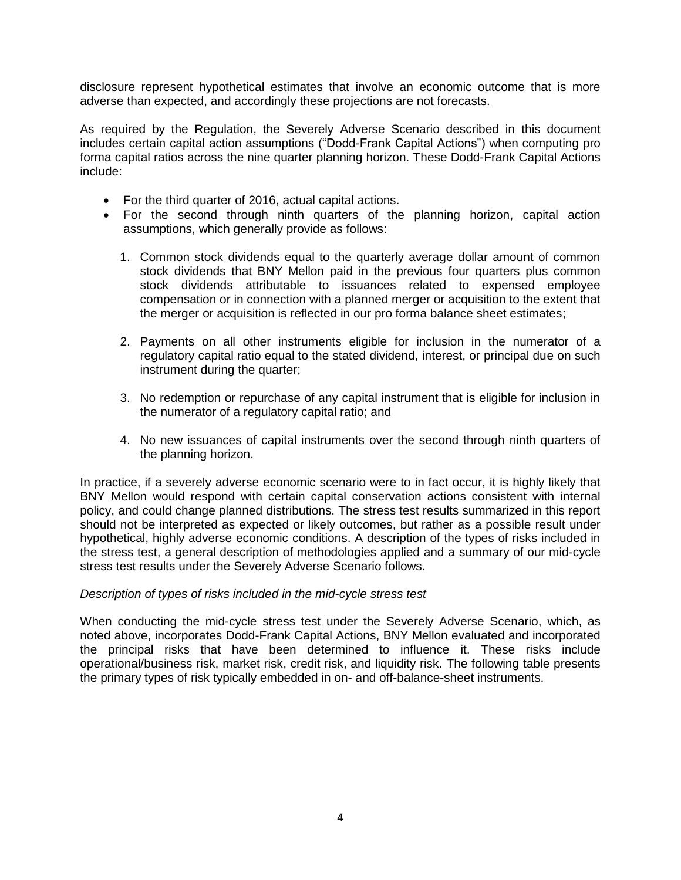disclosure represent hypothetical estimates that involve an economic outcome that is more adverse than expected, and accordingly these projections are not forecasts.

As required by the Regulation, the Severely Adverse Scenario described in this document includes certain capital action assumptions ("Dodd-Frank Capital Actions") when computing pro forma capital ratios across the nine quarter planning horizon. These Dodd-Frank Capital Actions include:

- For the third quarter of 2016, actual capital actions.
- For the second through ninth quarters of the planning horizon, capital action assumptions, which generally provide as follows:
	- 1. Common stock dividends equal to the quarterly average dollar amount of common stock dividends that BNY Mellon paid in the previous four quarters plus common stock dividends attributable to issuances related to expensed employee compensation or in connection with a planned merger or acquisition to the extent that the merger or acquisition is reflected in our pro forma balance sheet estimates;
	- 2. Payments on all other instruments eligible for inclusion in the numerator of a regulatory capital ratio equal to the stated dividend, interest, or principal due on such instrument during the quarter;
	- 3. No redemption or repurchase of any capital instrument that is eligible for inclusion in the numerator of a regulatory capital ratio; and
	- 4. No new issuances of capital instruments over the second through ninth quarters of the planning horizon.

In practice, if a severely adverse economic scenario were to in fact occur, it is highly likely that BNY Mellon would respond with certain capital conservation actions consistent with internal policy, and could change planned distributions. The stress test results summarized in this report should not be interpreted as expected or likely outcomes, but rather as a possible result under hypothetical, highly adverse economic conditions. A description of the types of risks included in the stress test, a general description of methodologies applied and a summary of our mid-cycle stress test results under the Severely Adverse Scenario follows.

### *Description of types of risks included in the mid-cycle stress test*

When conducting the mid-cycle stress test under the Severely Adverse Scenario, which, as noted above, incorporates Dodd-Frank Capital Actions, BNY Mellon evaluated and incorporated the principal risks that have been determined to influence it. These risks include operational/business risk, market risk, credit risk, and liquidity risk. The following table presents the primary types of risk typically embedded in on- and off-balance-sheet instruments.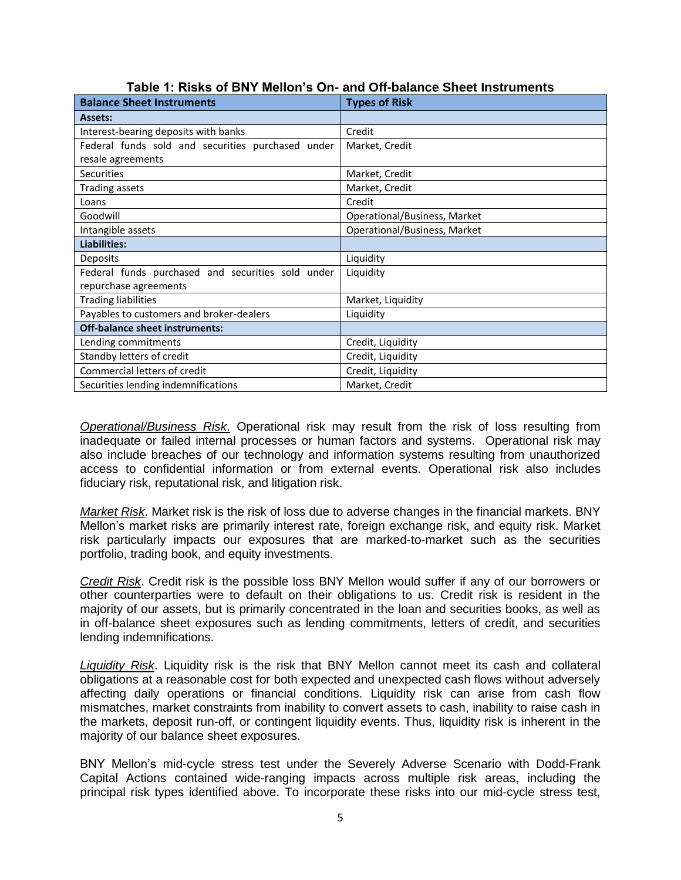| <b>Balance Sheet Instruments</b>                  | <b>Types of Risk</b>         |  |
|---------------------------------------------------|------------------------------|--|
| <b>Assets:</b>                                    |                              |  |
| Interest-bearing deposits with banks              | Credit                       |  |
| Federal funds sold and securities purchased under | Market, Credit               |  |
| resale agreements                                 |                              |  |
| <b>Securities</b>                                 | Market, Credit               |  |
| <b>Trading assets</b>                             | Market, Credit               |  |
| Loans                                             | Credit                       |  |
| Goodwill                                          | Operational/Business, Market |  |
| Intangible assets                                 | Operational/Business, Market |  |
| Liabilities:                                      |                              |  |
| Deposits                                          | Liquidity                    |  |
| Federal funds purchased and securities sold under | Liquidity                    |  |
| repurchase agreements                             |                              |  |
| <b>Trading liabilities</b>                        | Market, Liquidity            |  |
| Payables to customers and broker-dealers          | Liquidity                    |  |
| <b>Off-balance sheet instruments:</b>             |                              |  |
| Lending commitments                               | Credit, Liquidity            |  |
| Standby letters of credit                         | Credit, Liquidity            |  |
| Commercial letters of credit                      | Credit, Liquidity            |  |
| Securities lending indemnifications               | Market, Credit               |  |

**Table 1: Risks of BNY Mellon's On- and Off-balance Sheet Instruments** 

*Operational/Business Risk*. Operational risk may result from the risk of loss resulting from inadequate or failed internal processes or human factors and systems. Operational risk may also include breaches of our technology and information systems resulting from unauthorized access to confidential information or from external events. Operational risk also includes fiduciary risk, reputational risk, and litigation risk.

*Market Risk*. Market risk is the risk of loss due to adverse changes in the financial markets. BNY Mellon's market risks are primarily interest rate, foreign exchange risk, and equity risk. Market risk particularly impacts our exposures that are marked-to-market such as the securities portfolio, trading book, and equity investments.

*Credit Risk*. Credit risk is the possible loss BNY Mellon would suffer if any of our borrowers or other counterparties were to default on their obligations to us. Credit risk is resident in the majority of our assets, but is primarily concentrated in the loan and securities books, as well as in off-balance sheet exposures such as lending commitments, letters of credit, and securities lending indemnifications.

*Liquidity Risk*. Liquidity risk is the risk that BNY Mellon cannot meet its cash and collateral obligations at a reasonable cost for both expected and unexpected cash flows without adversely affecting daily operations or financial conditions. Liquidity risk can arise from cash flow mismatches, market constraints from inability to convert assets to cash, inability to raise cash in the markets, deposit run-off, or contingent liquidity events. Thus, liquidity risk is inherent in the majority of our balance sheet exposures.

BNY Mellon's mid-cycle stress test under the Severely Adverse Scenario with Dodd-Frank Capital Actions contained wide-ranging impacts across multiple risk areas, including the principal risk types identified above. To incorporate these risks into our mid-cycle stress test,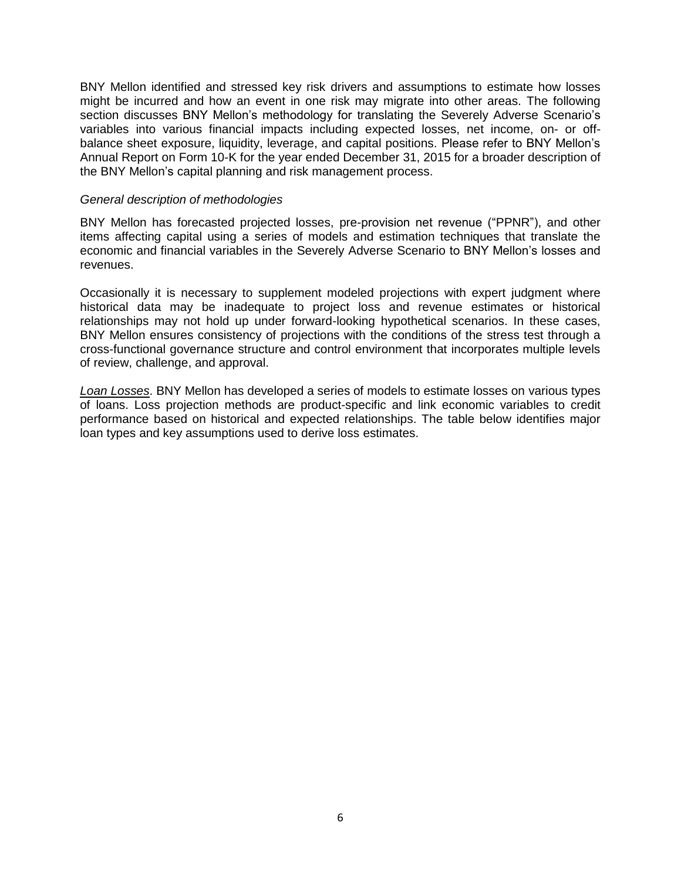BNY Mellon identified and stressed key risk drivers and assumptions to estimate how losses might be incurred and how an event in one risk may migrate into other areas. The following section discusses BNY Mellon's methodology for translating the Severely Adverse Scenario's variables into various financial impacts including expected losses, net income, on- or offbalance sheet exposure, liquidity, leverage, and capital positions. Please refer to BNY Mellon's Annual Report on Form 10-K for the year ended December 31, 2015 for a broader description of the BNY Mellon's capital planning and risk management process.

#### *General description of methodologies*

BNY Mellon has forecasted projected losses, pre-provision net revenue ("PPNR"), and other items affecting capital using a series of models and estimation techniques that translate the economic and financial variables in the Severely Adverse Scenario to BNY Mellon's losses and revenues.

Occasionally it is necessary to supplement modeled projections with expert judgment where historical data may be inadequate to project loss and revenue estimates or historical relationships may not hold up under forward-looking hypothetical scenarios. In these cases, BNY Mellon ensures consistency of projections with the conditions of the stress test through a cross-functional governance structure and control environment that incorporates multiple levels of review, challenge, and approval.

*Loan Losses*. BNY Mellon has developed a series of models to estimate losses on various types of loans. Loss projection methods are product-specific and link economic variables to credit performance based on historical and expected relationships. The table below identifies major loan types and key assumptions used to derive loss estimates.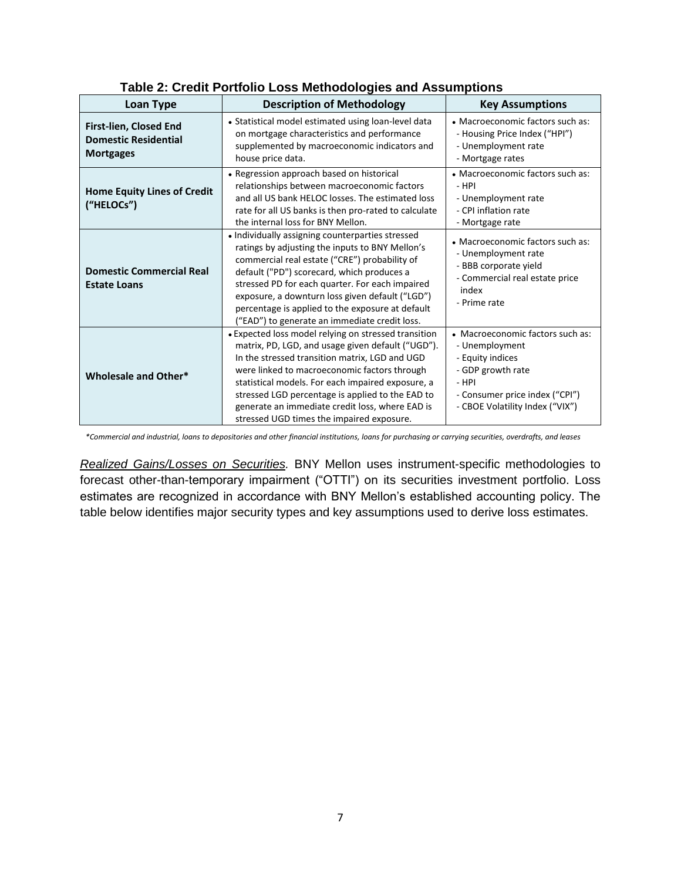| <b>Loan Type</b>                                                          | <b>Description of Methodology</b>                                                                                                                                                                                                                                                                                                                                                                                    | <b>Key Assumptions</b>                                                                                                                                                      |
|---------------------------------------------------------------------------|----------------------------------------------------------------------------------------------------------------------------------------------------------------------------------------------------------------------------------------------------------------------------------------------------------------------------------------------------------------------------------------------------------------------|-----------------------------------------------------------------------------------------------------------------------------------------------------------------------------|
| First-lien, Closed End<br><b>Domestic Residential</b><br><b>Mortgages</b> | • Statistical model estimated using loan-level data<br>on mortgage characteristics and performance<br>supplemented by macroeconomic indicators and<br>house price data.                                                                                                                                                                                                                                              | • Macroeconomic factors such as:<br>- Housing Price Index ("HPI")<br>- Unemployment rate<br>- Mortgage rates                                                                |
| <b>Home Equity Lines of Credit</b><br>("HELOCs")                          | • Regression approach based on historical<br>relationships between macroeconomic factors<br>and all US bank HELOC losses. The estimated loss<br>rate for all US banks is then pro-rated to calculate<br>the internal loss for BNY Mellon.                                                                                                                                                                            | • Macroeconomic factors such as:<br>- HPI<br>- Unemployment rate<br>- CPI inflation rate<br>- Mortgage rate                                                                 |
| <b>Domestic Commercial Real</b><br><b>Estate Loans</b>                    | · Individually assigning counterparties stressed<br>ratings by adjusting the inputs to BNY Mellon's<br>commercial real estate ("CRE") probability of<br>default ("PD") scorecard, which produces a<br>stressed PD for each quarter. For each impaired<br>exposure, a downturn loss given default ("LGD")<br>percentage is applied to the exposure at default<br>("EAD") to generate an immediate credit loss.        | • Macroeconomic factors such as:<br>- Unemployment rate<br>- BBB corporate yield<br>- Commercial real estate price<br>index<br>- Prime rate                                 |
| <b>Wholesale and Other*</b>                                               | • Expected loss model relying on stressed transition<br>matrix, PD, LGD, and usage given default ("UGD").<br>In the stressed transition matrix, LGD and UGD<br>were linked to macroeconomic factors through<br>statistical models. For each impaired exposure, a<br>stressed LGD percentage is applied to the EAD to<br>generate an immediate credit loss, where EAD is<br>stressed UGD times the impaired exposure. | • Macroeconomic factors such as:<br>- Unemployment<br>- Equity indices<br>- GDP growth rate<br>$-$ HPI<br>- Consumer price index ("CPI")<br>- CBOE Volatility Index ("VIX") |

## **Table 2: Credit Portfolio Loss Methodologies and Assumptions**

*\*Commercial and industrial, loans to depositories and other financial institutions, loans for purchasing or carrying securities, overdrafts, and leases* 

*Realized Gains/Losses on Securities.* BNY Mellon uses instrument-specific methodologies to forecast other-than-temporary impairment ("OTTI") on its securities investment portfolio. Loss estimates are recognized in accordance with BNY Mellon's established accounting policy. The table below identifies major security types and key assumptions used to derive loss estimates.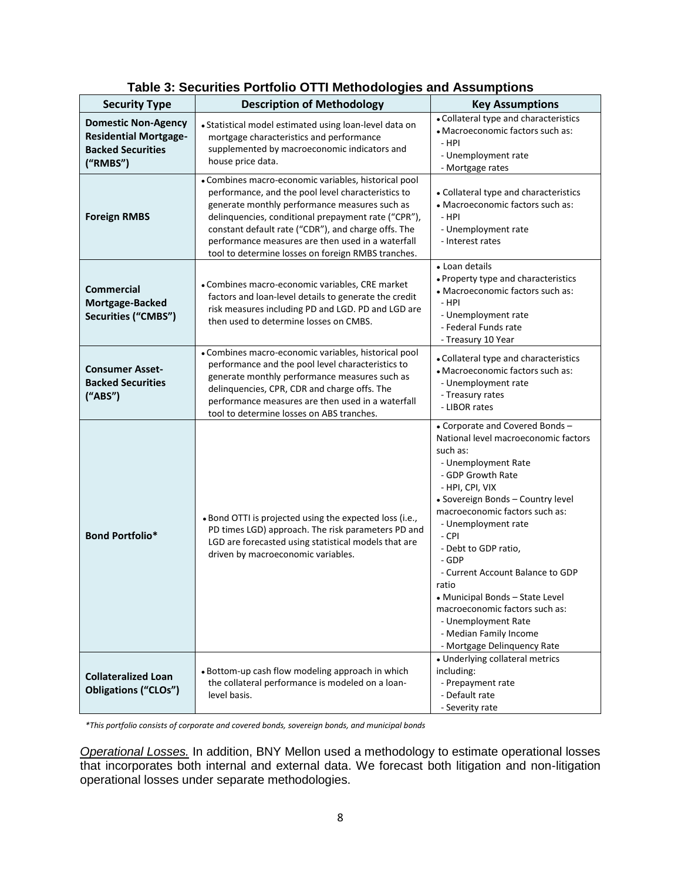| <b>Security Type</b>                                                                               | <b>Description of Methodology</b>                                                                                                                                                                                                                                                                                                                                                    | <b>Key Assumptions</b>                                                                                                                                                                                                                                                                                                                                                                                                                                                                      |  |
|----------------------------------------------------------------------------------------------------|--------------------------------------------------------------------------------------------------------------------------------------------------------------------------------------------------------------------------------------------------------------------------------------------------------------------------------------------------------------------------------------|---------------------------------------------------------------------------------------------------------------------------------------------------------------------------------------------------------------------------------------------------------------------------------------------------------------------------------------------------------------------------------------------------------------------------------------------------------------------------------------------|--|
| <b>Domestic Non-Agency</b><br><b>Residential Mortgage-</b><br><b>Backed Securities</b><br>("RMBS") | • Statistical model estimated using loan-level data on<br>mortgage characteristics and performance<br>supplemented by macroeconomic indicators and<br>house price data.                                                                                                                                                                                                              | • Collateral type and characteristics<br>• Macroeconomic factors such as:<br>- HPI<br>- Unemployment rate<br>- Mortgage rates                                                                                                                                                                                                                                                                                                                                                               |  |
| <b>Foreign RMBS</b>                                                                                | • Combines macro-economic variables, historical pool<br>performance, and the pool level characteristics to<br>generate monthly performance measures such as<br>delinquencies, conditional prepayment rate ("CPR"),<br>constant default rate ("CDR"), and charge offs. The<br>performance measures are then used in a waterfall<br>tool to determine losses on foreign RMBS tranches. | • Collateral type and characteristics<br>• Macroeconomic factors such as:<br>- HPI<br>- Unemployment rate<br>- Interest rates                                                                                                                                                                                                                                                                                                                                                               |  |
| <b>Commercial</b><br>Mortgage-Backed<br>Securities ("CMBS")                                        | • Combines macro-economic variables, CRE market<br>factors and loan-level details to generate the credit<br>risk measures including PD and LGD. PD and LGD are<br>then used to determine losses on CMBS.                                                                                                                                                                             | • Loan details<br>• Property type and characteristics<br>• Macroeconomic factors such as:<br>- HPI<br>- Unemployment rate<br>- Federal Funds rate<br>- Treasury 10 Year                                                                                                                                                                                                                                                                                                                     |  |
| <b>Consumer Asset-</b><br><b>Backed Securities</b><br>("ABS")                                      | • Combines macro-economic variables, historical pool<br>performance and the pool level characteristics to<br>generate monthly performance measures such as<br>delinquencies, CPR, CDR and charge offs. The<br>performance measures are then used in a waterfall<br>tool to determine losses on ABS tranches.                                                                         | • Collateral type and characteristics<br>• Macroeconomic factors such as:<br>- Unemployment rate<br>- Treasury rates<br>- LIBOR rates                                                                                                                                                                                                                                                                                                                                                       |  |
| <b>Bond Portfolio*</b>                                                                             | . Bond OTTI is projected using the expected loss (i.e.,<br>PD times LGD) approach. The risk parameters PD and<br>LGD are forecasted using statistical models that are<br>driven by macroeconomic variables.                                                                                                                                                                          | - Corporate and Covered Bonds-<br>National level macroeconomic factors<br>such as:<br>- Unemployment Rate<br>- GDP Growth Rate<br>- HPI, CPI, VIX<br>• Sovereign Bonds - Country level<br>macroeconomic factors such as:<br>- Unemployment rate<br>- CPI<br>- Debt to GDP ratio,<br>- GDP<br>- Current Account Balance to GDP<br>ratio<br>• Municipal Bonds - State Level<br>macroeconomic factors such as:<br>- Unemployment Rate<br>- Median Family Income<br>- Mortgage Delinquency Rate |  |
| <b>Collateralized Loan</b><br><b>Obligations ("CLOs")</b>                                          | . Bottom-up cash flow modeling approach in which<br>the collateral performance is modeled on a loan-<br>level basis.                                                                                                                                                                                                                                                                 | • Underlying collateral metrics<br>including:<br>- Prepayment rate<br>- Default rate<br>- Severity rate                                                                                                                                                                                                                                                                                                                                                                                     |  |

# **Table 3: Securities Portfolio OTTI Methodologies and Assumptions**

*\*This portfolio consists of corporate and covered bonds, sovereign bonds, and municipal bonds* 

*Operational Losses.* In addition, BNY Mellon used a methodology to estimate operational losses that incorporates both internal and external data. We forecast both litigation and non-litigation operational losses under separate methodologies.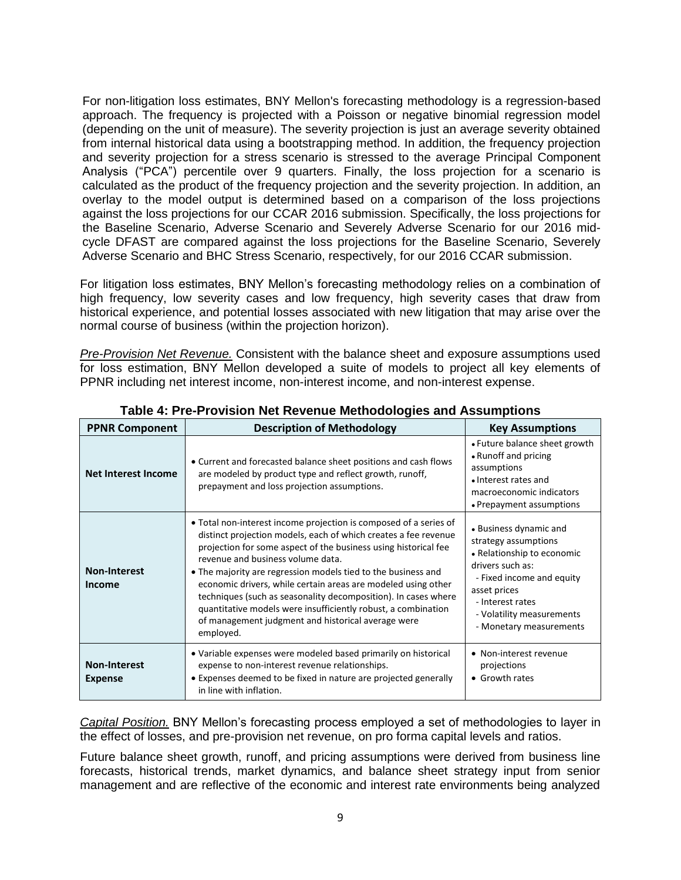For non-litigation loss estimates, BNY Mellon's forecasting methodology is a regression-based approach. The frequency is projected with a Poisson or negative binomial regression model (depending on the unit of measure). The severity projection is just an average severity obtained from internal historical data using a bootstrapping method. In addition, the frequency projection and severity projection for a stress scenario is stressed to the average Principal Component Analysis ("PCA") percentile over 9 quarters. Finally, the loss projection for a scenario is calculated as the product of the frequency projection and the severity projection. In addition, an overlay to the model output is determined based on a comparison of the loss projections against the loss projections for our CCAR 2016 submission. Specifically, the loss projections for the Baseline Scenario, Adverse Scenario and Severely Adverse Scenario for our 2016 midcycle DFAST are compared against the loss projections for the Baseline Scenario, Severely Adverse Scenario and BHC Stress Scenario, respectively, for our 2016 CCAR submission.

For litigation loss estimates, BNY Mellon's forecasting methodology relies on a combination of high frequency, low severity cases and low frequency, high severity cases that draw from historical experience, and potential losses associated with new litigation that may arise over the normal course of business (within the projection horizon).

*Pre-Provision Net Revenue.* Consistent with the balance sheet and exposure assumptions used for loss estimation, BNY Mellon developed a suite of models to project all key elements of PPNR including net interest income, non-interest income, and non-interest expense.

| <b>PPNR Component</b>                 | <b>Description of Methodology</b>                                                                                                                                                                                                                                                                                                                                                                                                                                                                                                                                                    | <b>Key Assumptions</b>                                                                                                                                                                                                    |
|---------------------------------------|--------------------------------------------------------------------------------------------------------------------------------------------------------------------------------------------------------------------------------------------------------------------------------------------------------------------------------------------------------------------------------------------------------------------------------------------------------------------------------------------------------------------------------------------------------------------------------------|---------------------------------------------------------------------------------------------------------------------------------------------------------------------------------------------------------------------------|
| <b>Net Interest Income</b>            | • Current and forecasted balance sheet positions and cash flows<br>are modeled by product type and reflect growth, runoff,<br>prepayment and loss projection assumptions.                                                                                                                                                                                                                                                                                                                                                                                                            | • Future balance sheet growth<br>• Runoff and pricing<br>assumptions<br>• Interest rates and<br>macroeconomic indicators<br>• Prepayment assumptions                                                                      |
| <b>Non-Interest</b><br>Income         | • Total non-interest income projection is composed of a series of<br>distinct projection models, each of which creates a fee revenue<br>projection for some aspect of the business using historical fee<br>revenue and business volume data.<br>• The majority are regression models tied to the business and<br>economic drivers, while certain areas are modeled using other<br>techniques (such as seasonality decomposition). In cases where<br>quantitative models were insufficiently robust, a combination<br>of management judgment and historical average were<br>employed. | • Business dynamic and<br>strategy assumptions<br>• Relationship to economic<br>drivers such as:<br>- Fixed income and equity<br>asset prices<br>- Interest rates<br>- Volatility measurements<br>- Monetary measurements |
| <b>Non-Interest</b><br><b>Expense</b> | • Variable expenses were modeled based primarily on historical<br>expense to non-interest revenue relationships.<br>• Expenses deemed to be fixed in nature are projected generally<br>in line with inflation.                                                                                                                                                                                                                                                                                                                                                                       | • Non-interest revenue<br>projections<br>• Growth rates                                                                                                                                                                   |

**Table 4: Pre-Provision Net Revenue Methodologies and Assumptions** 

*Capital Position.* BNY Mellon's forecasting process employed a set of methodologies to layer in the effect of losses, and pre-provision net revenue, on pro forma capital levels and ratios.

Future balance sheet growth, runoff, and pricing assumptions were derived from business line forecasts, historical trends, market dynamics, and balance sheet strategy input from senior management and are reflective of the economic and interest rate environments being analyzed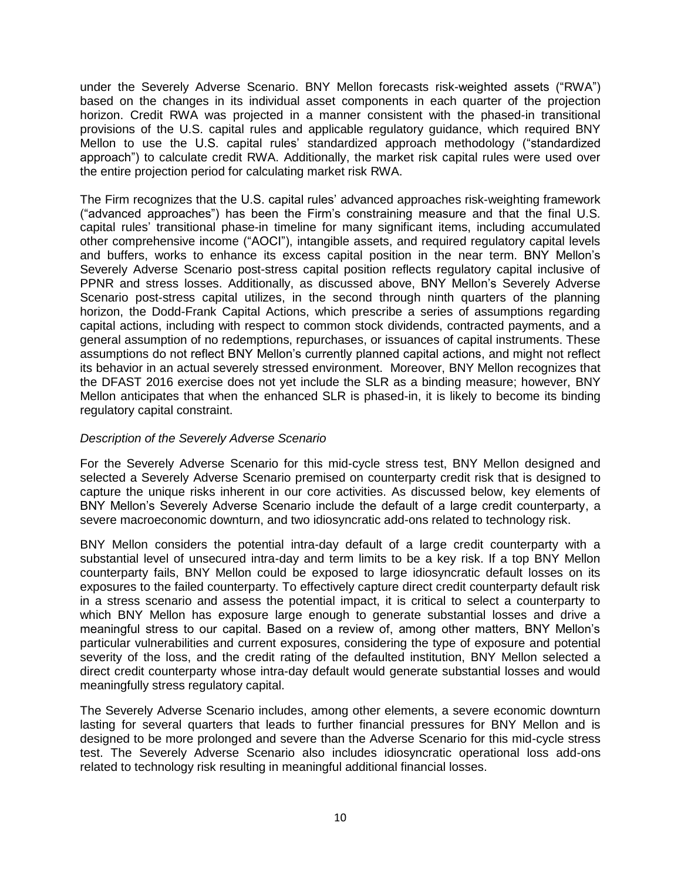under the Severely Adverse Scenario. BNY Mellon forecasts risk-weighted assets ("RWA") based on the changes in its individual asset components in each quarter of the projection horizon. Credit RWA was projected in a manner consistent with the phased-in transitional provisions of the U.S. capital rules and applicable regulatory guidance, which required BNY Mellon to use the U.S. capital rules' standardized approach methodology ("standardized approach") to calculate credit RWA. Additionally, the market risk capital rules were used over the entire projection period for calculating market risk RWA.

The Firm recognizes that the U.S. capital rules' advanced approaches risk-weighting framework ("advanced approaches") has been the Firm's constraining measure and that the final U.S. capital rules' transitional phase-in timeline for many significant items, including accumulated other comprehensive income ("AOCI"), intangible assets, and required regulatory capital levels and buffers, works to enhance its excess capital position in the near term. BNY Mellon's Severely Adverse Scenario post-stress capital position reflects regulatory capital inclusive of PPNR and stress losses. Additionally, as discussed above, BNY Mellon's Severely Adverse Scenario post-stress capital utilizes, in the second through ninth quarters of the planning horizon, the Dodd-Frank Capital Actions, which prescribe a series of assumptions regarding capital actions, including with respect to common stock dividends, contracted payments, and a general assumption of no redemptions, repurchases, or issuances of capital instruments. These assumptions do not reflect BNY Mellon's currently planned capital actions, and might not reflect its behavior in an actual severely stressed environment. Moreover, BNY Mellon recognizes that the DFAST 2016 exercise does not yet include the SLR as a binding measure; however, BNY Mellon anticipates that when the enhanced SLR is phased-in, it is likely to become its binding regulatory capital constraint.

## *Description of the Severely Adverse Scenario*

For the Severely Adverse Scenario for this mid-cycle stress test, BNY Mellon designed and selected a Severely Adverse Scenario premised on counterparty credit risk that is designed to capture the unique risks inherent in our core activities. As discussed below, key elements of BNY Mellon's Severely Adverse Scenario include the default of a large credit counterparty, a severe macroeconomic downturn, and two idiosyncratic add-ons related to technology risk.

BNY Mellon considers the potential intra-day default of a large credit counterparty with a substantial level of unsecured intra-day and term limits to be a key risk. If a top BNY Mellon counterparty fails, BNY Mellon could be exposed to large idiosyncratic default losses on its exposures to the failed counterparty. To effectively capture direct credit counterparty default risk in a stress scenario and assess the potential impact, it is critical to select a counterparty to which BNY Mellon has exposure large enough to generate substantial losses and drive a meaningful stress to our capital. Based on a review of, among other matters, BNY Mellon's particular vulnerabilities and current exposures, considering the type of exposure and potential severity of the loss, and the credit rating of the defaulted institution, BNY Mellon selected a direct credit counterparty whose intra-day default would generate substantial losses and would meaningfully stress regulatory capital.

The Severely Adverse Scenario includes, among other elements, a severe economic downturn lasting for several quarters that leads to further financial pressures for BNY Mellon and is designed to be more prolonged and severe than the Adverse Scenario for this mid-cycle stress test. The Severely Adverse Scenario also includes idiosyncratic operational loss add-ons related to technology risk resulting in meaningful additional financial losses.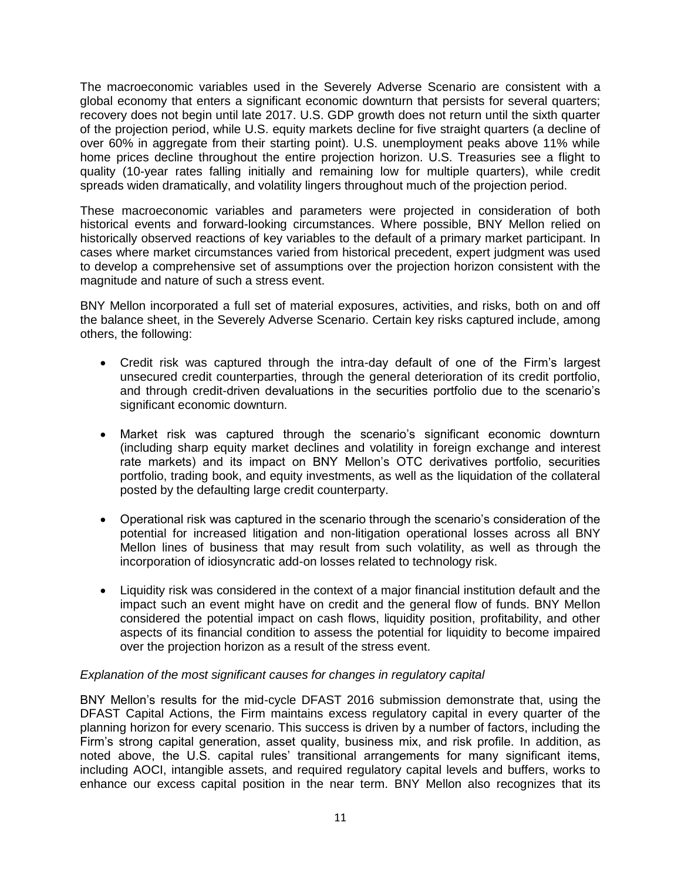The macroeconomic variables used in the Severely Adverse Scenario are consistent with a global economy that enters a significant economic downturn that persists for several quarters; recovery does not begin until late 2017. U.S. GDP growth does not return until the sixth quarter of the projection period, while U.S. equity markets decline for five straight quarters (a decline of over 60% in aggregate from their starting point). U.S. unemployment peaks above 11% while home prices decline throughout the entire projection horizon. U.S. Treasuries see a flight to quality (10-year rates falling initially and remaining low for multiple quarters), while credit spreads widen dramatically, and volatility lingers throughout much of the projection period.

These macroeconomic variables and parameters were projected in consideration of both historical events and forward-looking circumstances. Where possible, BNY Mellon relied on historically observed reactions of key variables to the default of a primary market participant. In cases where market circumstances varied from historical precedent, expert judgment was used to develop a comprehensive set of assumptions over the projection horizon consistent with the magnitude and nature of such a stress event.

BNY Mellon incorporated a full set of material exposures, activities, and risks, both on and off the balance sheet, in the Severely Adverse Scenario. Certain key risks captured include, among others, the following:

- Credit risk was captured through the intra-day default of one of the Firm's largest unsecured credit counterparties, through the general deterioration of its credit portfolio, and through credit-driven devaluations in the securities portfolio due to the scenario's significant economic downturn.
- Market risk was captured through the scenario's significant economic downturn (including sharp equity market declines and volatility in foreign exchange and interest rate markets) and its impact on BNY Mellon's OTC derivatives portfolio, securities portfolio, trading book, and equity investments, as well as the liquidation of the collateral posted by the defaulting large credit counterparty.
- Operational risk was captured in the scenario through the scenario's consideration of the potential for increased litigation and non-litigation operational losses across all BNY Mellon lines of business that may result from such volatility, as well as through the incorporation of idiosyncratic add-on losses related to technology risk.
- Liquidity risk was considered in the context of a major financial institution default and the impact such an event might have on credit and the general flow of funds. BNY Mellon considered the potential impact on cash flows, liquidity position, profitability, and other aspects of its financial condition to assess the potential for liquidity to become impaired over the projection horizon as a result of the stress event.

## *Explanation of the most significant causes for changes in regulatory capital*

BNY Mellon's results for the mid-cycle DFAST 2016 submission demonstrate that, using the DFAST Capital Actions, the Firm maintains excess regulatory capital in every quarter of the planning horizon for every scenario. This success is driven by a number of factors, including the Firm's strong capital generation, asset quality, business mix, and risk profile. In addition, as noted above, the U.S. capital rules' transitional arrangements for many significant items, including AOCI, intangible assets, and required regulatory capital levels and buffers, works to enhance our excess capital position in the near term. BNY Mellon also recognizes that its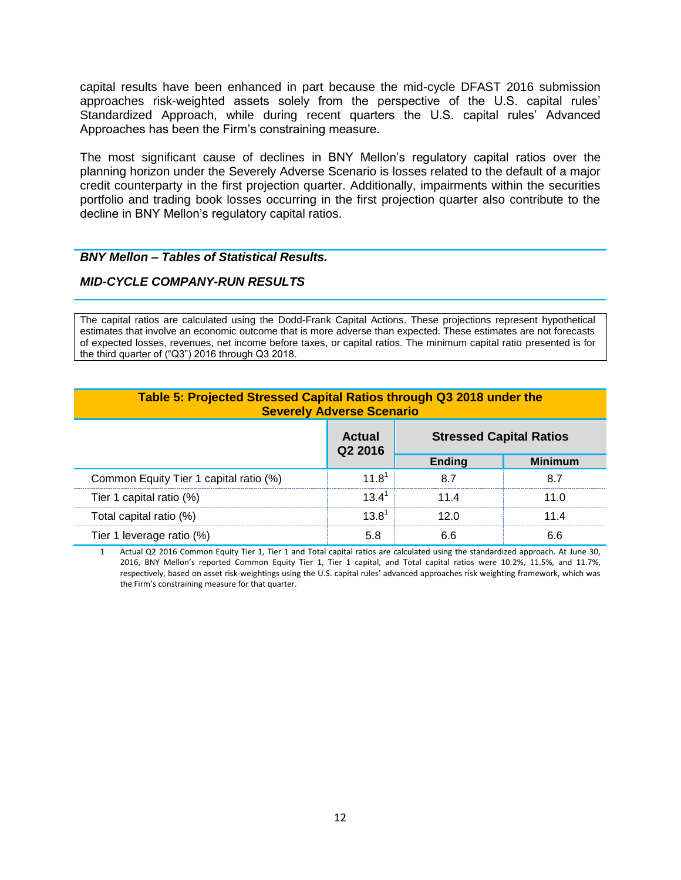capital results have been enhanced in part because the mid-cycle DFAST 2016 submission approaches risk-weighted assets solely from the perspective of the U.S. capital rules' Standardized Approach, while during recent quarters the U.S. capital rules' Advanced Approaches has been the Firm's constraining measure.

The most significant cause of declines in BNY Mellon's regulatory capital ratios over the planning horizon under the Severely Adverse Scenario is losses related to the default of a major credit counterparty in the first projection quarter. Additionally, impairments within the securities portfolio and trading book losses occurring in the first projection quarter also contribute to the decline in BNY Mellon's regulatory capital ratios.

## *BNY Mellon – Tables of Statistical Results.*

## *MID-CYCLE COMPANY-RUN RESULTS*

The capital ratios are calculated using the Dodd-Frank Capital Actions. These projections represent hypothetical estimates that involve an economic outcome that is more adverse than expected. These estimates are not forecasts of expected losses, revenues, net income before taxes, or capital ratios. The minimum capital ratio presented is for the third quarter of ("Q3") 2016 through Q3 2018.

| Table 5: Projected Stressed Capital Ratios through Q3 2018 under the<br><b>Severely Adverse Scenario</b> |                               |               |                                |
|----------------------------------------------------------------------------------------------------------|-------------------------------|---------------|--------------------------------|
|                                                                                                          | Actual<br>Q <sub>2</sub> 2016 |               | <b>Stressed Capital Ratios</b> |
|                                                                                                          |                               | <b>Ending</b> | <b>Minimum</b>                 |
| Common Equity Tier 1 capital ratio (%)                                                                   | 11 R                          |               |                                |
| Tier 1 capital ratio (%)                                                                                 | 12 1'                         | 11 4          | 11 በ                           |
| Total capital ratio (%)                                                                                  | 13 R'                         |               |                                |
| Tier 1 leverage ratio (%)                                                                                |                               |               |                                |

1 Actual Q2 2016 Common Equity Tier 1, Tier 1 and Total capital ratios are calculated using the standardized approach. At June 30, 2016, BNY Mellon's reported Common Equity Tier 1, Tier 1 capital, and Total capital ratios were 10.2%, 11.5%, and 11.7%, respectively, based on asset risk-weightings using the U.S. capital rules' advanced approaches risk weighting framework, which was the Firm's constraining measure for that quarter.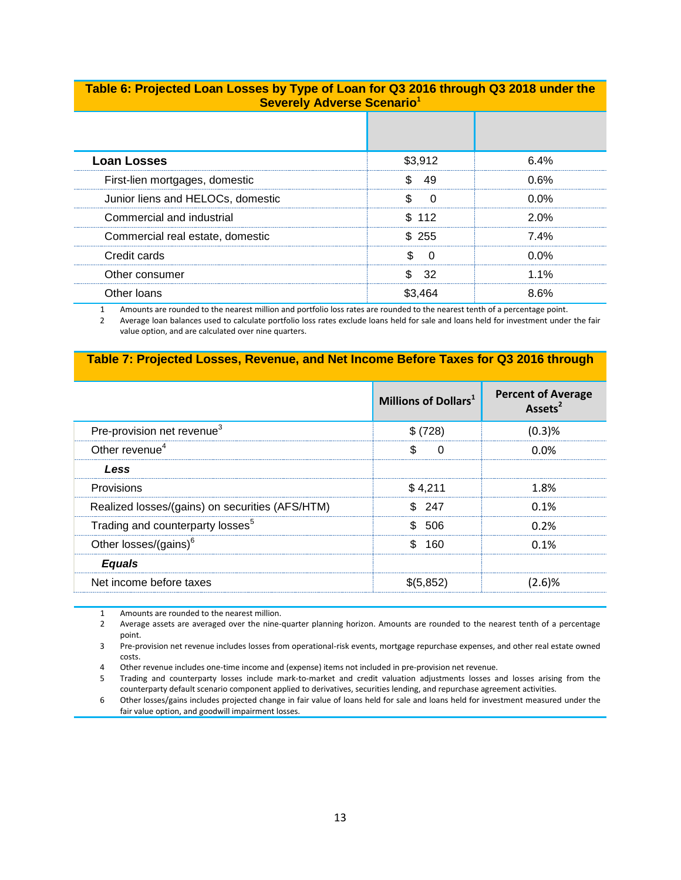## **Table 6: Projected Loan Losses by Type of Loan for Q3 2016 through Q3 2018 under the Severely Adverse Scenario<sup>1</sup>**

| <b>Loan Losses</b>                | \$3.912 | 6 4% |
|-----------------------------------|---------|------|
| First-lien mortgages, domestic    |         | በ 6% |
| Junior liens and HELOCs, domestic |         | በ በ% |
| Commercial and industrial         | \$112   | 2 በ% |
| Commercial real estate, domestic  | 255     | 7 4% |
| Credit cards                      |         | በ%   |
| Other consumer                    |         | 1%   |
| Other Ioans                       |         |      |

1 Amounts are rounded to the nearest million and portfolio loss rates are rounded to the nearest tenth of a percentage point.

2 Average loan balances used to calculate portfolio loss rates exclude loans held for sale and loans held for investment under the fair value option, and are calculated over nine quarters.

### **Table 7: Projected Losses, Revenue, and Net Income Before Taxes for Q3 2016 through**

|                                                 | Millions of Dollars <sup>1</sup> | <b>Percent of Average</b><br>Assets <sup>2</sup> |
|-------------------------------------------------|----------------------------------|--------------------------------------------------|
| Pre-provision net revenue <sup>3</sup>          | \$ (728)                         | (0.3)%                                           |
| Other revenue <sup>4</sup>                      | n                                | <u>በ በ%</u>                                      |
| Less                                            |                                  |                                                  |
| Provisions                                      | \$4,211                          | 1.8%                                             |
| Realized losses/(gains) on securities (AFS/HTM) | \$247                            | 0.1%                                             |
| Trading and counterparty losses <sup>5</sup>    | - 506                            | $0.2\%$                                          |
| Other losses/(gains) $6$                        | 160                              | $0.1\%$                                          |
| <b>Equals</b>                                   |                                  |                                                  |
| Net income before taxes                         | \$(5.852)                        | 2.6)%                                            |

1 Amounts are rounded to the nearest million.

2 Average assets are averaged over the nine-quarter planning horizon. Amounts are rounded to the nearest tenth of a percentage point.

3 Pre-provision net revenue includes losses from operational-risk events, mortgage repurchase expenses, and other real estate owned costs.

4 Other revenue includes one-time income and (expense) items not included in pre-provision net revenue.

5 Trading and counterparty losses include mark-to-market and credit valuation adjustments losses and losses arising from the counterparty default scenario component applied to derivatives, securities lending, and repurchase agreement activities.

6 Other losses/gains includes projected change in fair value of loans held for sale and loans held for investment measured under the fair value option, and goodwill impairment losses.